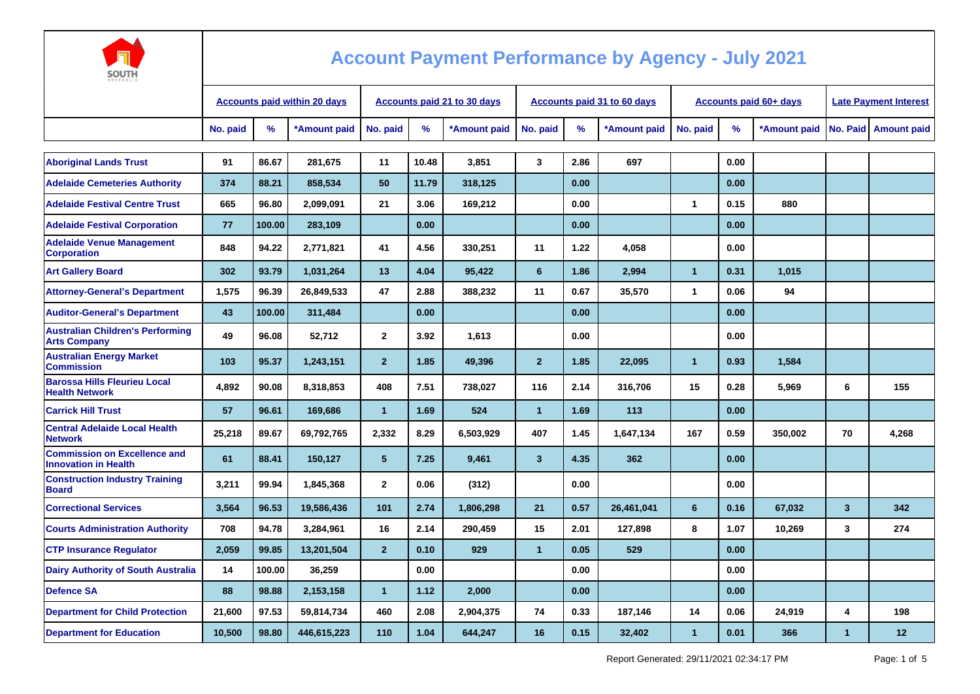

| JU J I I I<br><b>AUSTRALI</b>                                      |                                     |        |              |                                    |       |              |                |      |                                    |                |      |                               |                              |                        |
|--------------------------------------------------------------------|-------------------------------------|--------|--------------|------------------------------------|-------|--------------|----------------|------|------------------------------------|----------------|------|-------------------------------|------------------------------|------------------------|
|                                                                    | <b>Accounts paid within 20 days</b> |        |              | <b>Accounts paid 21 to 30 days</b> |       |              |                |      | <b>Accounts paid 31 to 60 days</b> |                |      | <b>Accounts paid 60+ days</b> | <b>Late Payment Interest</b> |                        |
|                                                                    | No. paid                            | %      | *Amount paid | No. paid                           | %     | *Amount paid | No. paid       | $\%$ | *Amount paid                       | No. paid       | %    | *Amount paid                  |                              | No. Paid   Amount paid |
| <b>Aboriginal Lands Trust</b>                                      | 91                                  | 86.67  | 281.675      | 11                                 | 10.48 | 3.851        | 3              | 2.86 | 697                                |                | 0.00 |                               |                              |                        |
| <b>Adelaide Cemeteries Authority</b>                               | 374                                 | 88.21  | 858,534      | 50                                 | 11.79 | 318,125      |                | 0.00 |                                    |                | 0.00 |                               |                              |                        |
| <b>Adelaide Festival Centre Trust</b>                              | 665                                 | 96.80  | 2,099,091    | 21                                 | 3.06  | 169,212      |                | 0.00 |                                    | 1              | 0.15 | 880                           |                              |                        |
| <b>Adelaide Festival Corporation</b>                               | 77                                  | 100.00 | 283,109      |                                    | 0.00  |              |                | 0.00 |                                    |                | 0.00 |                               |                              |                        |
| <b>Adelaide Venue Management</b><br><b>Corporation</b>             | 848                                 | 94.22  | 2,771,821    | 41                                 | 4.56  | 330,251      | 11             | 1.22 | 4,058                              |                | 0.00 |                               |                              |                        |
| <b>Art Gallery Board</b>                                           | 302                                 | 93.79  | 1,031,264    | 13                                 | 4.04  | 95.422       | 6              | 1.86 | 2.994                              | $\mathbf{1}$   | 0.31 | 1.015                         |                              |                        |
| <b>Attorney-General's Department</b>                               | 1,575                               | 96.39  | 26,849,533   | 47                                 | 2.88  | 388,232      | 11             | 0.67 | 35,570                             | $\mathbf{1}$   | 0.06 | 94                            |                              |                        |
| <b>Auditor-General's Department</b>                                | 43                                  | 100.00 | 311,484      |                                    | 0.00  |              |                | 0.00 |                                    |                | 0.00 |                               |                              |                        |
| <b>Australian Children's Performing</b><br><b>Arts Company</b>     | 49                                  | 96.08  | 52,712       | $\overline{2}$                     | 3.92  | 1,613        |                | 0.00 |                                    |                | 0.00 |                               |                              |                        |
| <b>Australian Energy Market</b><br><b>Commission</b>               | 103                                 | 95.37  | 1,243,151    | $\overline{2}$                     | 1.85  | 49,396       | $\overline{2}$ | 1.85 | 22,095                             | $\mathbf{1}$   | 0.93 | 1,584                         |                              |                        |
| <b>Barossa Hills Fleurieu Local</b><br><b>Health Network</b>       | 4,892                               | 90.08  | 8,318,853    | 408                                | 7.51  | 738,027      | 116            | 2.14 | 316,706                            | 15             | 0.28 | 5,969                         | 6                            | 155                    |
| <b>Carrick Hill Trust</b>                                          | 57                                  | 96.61  | 169,686      | $\overline{1}$                     | 1.69  | 524          | $\mathbf{1}$   | 1.69 | 113                                |                | 0.00 |                               |                              |                        |
| <b>Central Adelaide Local Health</b><br><b>Network</b>             | 25,218                              | 89.67  | 69,792,765   | 2,332                              | 8.29  | 6,503,929    | 407            | 1.45 | 1,647,134                          | 167            | 0.59 | 350,002                       | 70                           | 4,268                  |
| <b>Commission on Excellence and</b><br><b>Innovation in Health</b> | 61                                  | 88.41  | 150,127      | 5                                  | 7.25  | 9,461        | $\mathbf{3}$   | 4.35 | 362                                |                | 0.00 |                               |                              |                        |
| <b>Construction Industry Training</b><br><b>Board</b>              | 3,211                               | 99.94  | 1,845,368    | $\mathbf{2}$                       | 0.06  | (312)        |                | 0.00 |                                    |                | 0.00 |                               |                              |                        |
| <b>Correctional Services</b>                                       | 3,564                               | 96.53  | 19,586,436   | 101                                | 2.74  | 1,806,298    | 21             | 0.57 | 26,461,041                         | 6              | 0.16 | 67,032                        | $\overline{\mathbf{3}}$      | 342                    |
| <b>Courts Administration Authority</b>                             | 708                                 | 94.78  | 3,284,961    | 16                                 | 2.14  | 290,459      | 15             | 2.01 | 127,898                            | 8              | 1.07 | 10,269                        | 3                            | 274                    |
| <b>CTP Insurance Regulator</b>                                     | 2,059                               | 99.85  | 13,201,504   | $\overline{2}$                     | 0.10  | 929          | 1              | 0.05 | 529                                |                | 0.00 |                               |                              |                        |
| <b>Dairy Authority of South Australia</b>                          | 14                                  | 100.00 | 36,259       |                                    | 0.00  |              |                | 0.00 |                                    |                | 0.00 |                               |                              |                        |
| <b>Defence SA</b>                                                  | 88                                  | 98.88  | 2,153,158    | $\mathbf{1}$                       | 1.12  | 2,000        |                | 0.00 |                                    |                | 0.00 |                               |                              |                        |
| <b>Department for Child Protection</b>                             | 21,600                              | 97.53  | 59,814,734   | 460                                | 2.08  | 2,904,375    | 74             | 0.33 | 187.146                            | 14             | 0.06 | 24,919                        | 4                            | 198                    |
| <b>Department for Education</b>                                    | 10,500                              | 98.80  | 446,615,223  | 110                                | 1.04  | 644,247      | 16             | 0.15 | 32,402                             | $\overline{1}$ | 0.01 | 366                           | $\blacktriangleleft$         | 12                     |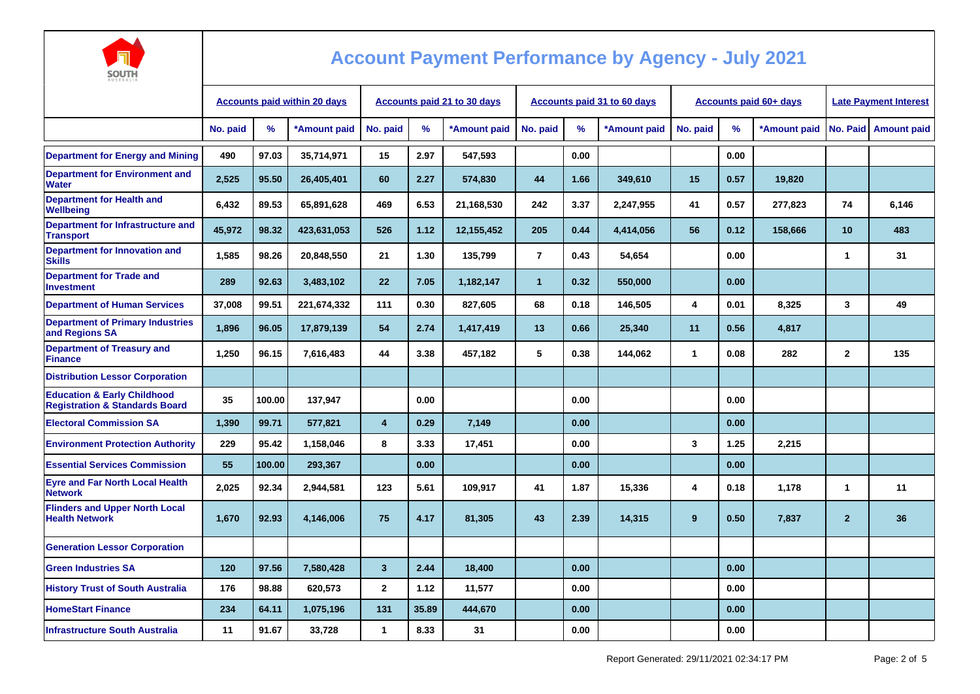

| AUSTRALIA                                                                           |                                     |        |              |                                    |       |              |                |      |                             |          |                        |                              |                |                      |
|-------------------------------------------------------------------------------------|-------------------------------------|--------|--------------|------------------------------------|-------|--------------|----------------|------|-----------------------------|----------|------------------------|------------------------------|----------------|----------------------|
|                                                                                     | <b>Accounts paid within 20 days</b> |        |              | <b>Accounts paid 21 to 30 days</b> |       |              |                |      | Accounts paid 31 to 60 days |          | Accounts paid 60+ days | <b>Late Payment Interest</b> |                |                      |
|                                                                                     | No. paid                            | $\%$   | *Amount paid | No. paid                           | %     | *Amount paid | No. paid       | %    | *Amount paid                | No. paid | %                      | *Amount paid                 |                | No. Paid Amount paid |
| <b>Department for Energy and Mining</b>                                             | 490                                 | 97.03  | 35,714,971   | 15                                 | 2.97  | 547,593      |                | 0.00 |                             |          | 0.00                   |                              |                |                      |
| <b>Department for Environment and</b><br><b>Water</b>                               | 2,525                               | 95.50  | 26,405,401   | 60                                 | 2.27  | 574,830      | 44             | 1.66 | 349,610                     | 15       | 0.57                   | 19,820                       |                |                      |
| <b>Department for Health and</b><br><b>Wellbeing</b>                                | 6,432                               | 89.53  | 65,891,628   | 469                                | 6.53  | 21,168,530   | 242            | 3.37 | 2,247,955                   | 41       | 0.57                   | 277,823                      | 74             | 6,146                |
| Department for Infrastructure and<br><b>Transport</b>                               | 45.972                              | 98.32  | 423,631,053  | 526                                | 1.12  | 12,155,452   | 205            | 0.44 | 4,414,056                   | 56       | 0.12                   | 158,666                      | 10             | 483                  |
| <b>Department for Innovation and</b><br><b>Skills</b>                               | 1,585                               | 98.26  | 20.848.550   | 21                                 | 1.30  | 135.799      | $\overline{7}$ | 0.43 | 54,654                      |          | 0.00                   |                              | 1              | 31                   |
| <b>Department for Trade and</b><br><b>Investment</b>                                | 289                                 | 92.63  | 3,483,102    | 22                                 | 7.05  | 1,182,147    | $\mathbf{1}$   | 0.32 | 550,000                     |          | 0.00                   |                              |                |                      |
| <b>Department of Human Services</b>                                                 | 37.008                              | 99.51  | 221,674,332  | 111                                | 0.30  | 827,605      | 68             | 0.18 | 146.505                     | 4        | 0.01                   | 8.325                        | 3              | 49                   |
| <b>Department of Primary Industries</b><br>and Regions SA                           | 1,896                               | 96.05  | 17,879,139   | 54                                 | 2.74  | 1,417,419    | 13             | 0.66 | 25,340                      | 11       | 0.56                   | 4,817                        |                |                      |
| <b>Department of Treasury and</b><br><b>Finance</b>                                 | 1,250                               | 96.15  | 7,616,483    | 44                                 | 3.38  | 457,182      | 5              | 0.38 | 144,062                     | 1        | 0.08                   | 282                          | $\mathbf{2}$   | 135                  |
| <b>Distribution Lessor Corporation</b>                                              |                                     |        |              |                                    |       |              |                |      |                             |          |                        |                              |                |                      |
| <b>Education &amp; Early Childhood</b><br><b>Registration &amp; Standards Board</b> | 35                                  | 100.00 | 137,947      |                                    | 0.00  |              |                | 0.00 |                             |          | 0.00                   |                              |                |                      |
| <b>Electoral Commission SA</b>                                                      | 1,390                               | 99.71  | 577,821      | $\overline{4}$                     | 0.29  | 7,149        |                | 0.00 |                             |          | 0.00                   |                              |                |                      |
| <b>Environment Protection Authority</b>                                             | 229                                 | 95.42  | 1,158,046    | 8                                  | 3.33  | 17,451       |                | 0.00 |                             | 3        | 1.25                   | 2,215                        |                |                      |
| <b>Essential Services Commission</b>                                                | 55                                  | 100.00 | 293,367      |                                    | 0.00  |              |                | 0.00 |                             |          | 0.00                   |                              |                |                      |
| <b>Eyre and Far North Local Health</b><br><b>Network</b>                            | 2,025                               | 92.34  | 2,944,581    | 123                                | 5.61  | 109,917      | 41             | 1.87 | 15,336                      | 4        | 0.18                   | 1,178                        | 1              | 11                   |
| <b>Flinders and Upper North Local</b><br><b>Health Network</b>                      | 1,670                               | 92.93  | 4,146,006    | 75                                 | 4.17  | 81,305       | 43             | 2.39 | 14,315                      | $\bf{9}$ | 0.50                   | 7,837                        | $\overline{2}$ | 36                   |
| <b>Generation Lessor Corporation</b>                                                |                                     |        |              |                                    |       |              |                |      |                             |          |                        |                              |                |                      |
| <b>Green Industries SA</b>                                                          | 120                                 | 97.56  | 7,580,428    | $\mathbf{3}$                       | 2.44  | 18,400       |                | 0.00 |                             |          | 0.00                   |                              |                |                      |
| <b>History Trust of South Australia</b>                                             | 176                                 | 98.88  | 620,573      | $\mathbf{2}$                       | 1.12  | 11,577       |                | 0.00 |                             |          | 0.00                   |                              |                |                      |
| <b>HomeStart Finance</b>                                                            | 234                                 | 64.11  | 1,075,196    | 131                                | 35.89 | 444,670      |                | 0.00 |                             |          | 0.00                   |                              |                |                      |
| <b>Infrastructure South Australia</b>                                               | 11                                  | 91.67  | 33,728       | 1                                  | 8.33  | 31           |                | 0.00 |                             |          | 0.00                   |                              |                |                      |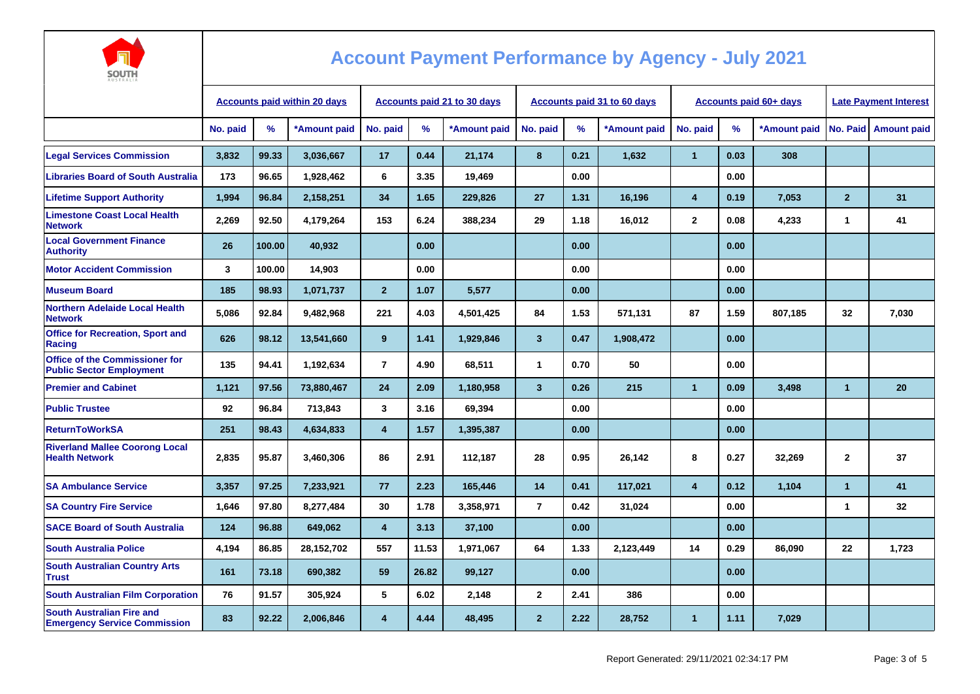

| AUSTRALIA                                                                | <b>Accounts paid within 20 days</b> |        |              | <b>Accounts paid 21 to 30 days</b> |       |              |                         |      | <b>Accounts paid 31 to 60 days</b> |                |      | <b>Accounts paid 60+ days</b> | <b>Late Payment Interest</b> |                        |
|--------------------------------------------------------------------------|-------------------------------------|--------|--------------|------------------------------------|-------|--------------|-------------------------|------|------------------------------------|----------------|------|-------------------------------|------------------------------|------------------------|
|                                                                          | No. paid                            | ℅      | *Amount paid | No. paid                           | %     | *Amount paid | No. paid                | %    | *Amount paid                       | No. paid       | $\%$ | *Amount paid                  |                              | No. Paid   Amount paid |
| <b>Legal Services Commission</b>                                         | 3,832                               | 99.33  | 3,036,667    | 17                                 | 0.44  | 21,174       | 8                       | 0.21 | 1,632                              | $\mathbf{1}$   | 0.03 | 308                           |                              |                        |
| <b>Libraries Board of South Australia</b>                                | 173                                 | 96.65  | 1,928,462    | 6                                  | 3.35  | 19,469       |                         | 0.00 |                                    |                | 0.00 |                               |                              |                        |
| <b>Lifetime Support Authority</b>                                        | 1.994                               | 96.84  | 2,158,251    | 34                                 | 1.65  | 229,826      | 27                      | 1.31 | 16,196                             | 4              | 0.19 | 7,053                         | $\overline{2}$               | 31                     |
| <b>Limestone Coast Local Health</b><br><b>Network</b>                    | 2,269                               | 92.50  | 4,179,264    | 153                                | 6.24  | 388,234      | 29                      | 1.18 | 16,012                             | $\overline{2}$ | 0.08 | 4,233                         | $\mathbf{1}$                 | 41                     |
| <b>Local Government Finance</b><br><b>Authority</b>                      | 26                                  | 100.00 | 40,932       |                                    | 0.00  |              |                         | 0.00 |                                    |                | 0.00 |                               |                              |                        |
| <b>Motor Accident Commission</b>                                         | $\mathbf{3}$                        | 100.00 | 14,903       |                                    | 0.00  |              |                         | 0.00 |                                    |                | 0.00 |                               |                              |                        |
| <b>Museum Board</b>                                                      | 185                                 | 98.93  | 1,071,737    | $\overline{2}$                     | 1.07  | 5,577        |                         | 0.00 |                                    |                | 0.00 |                               |                              |                        |
| <b>Northern Adelaide Local Health</b><br><b>Network</b>                  | 5.086                               | 92.84  | 9.482.968    | 221                                | 4.03  | 4,501,425    | 84                      | 1.53 | 571.131                            | 87             | 1.59 | 807,185                       | 32                           | 7.030                  |
| <b>Office for Recreation, Sport and</b><br>Racing                        | 626                                 | 98.12  | 13,541,660   | 9                                  | 1.41  | 1,929,846    | $\mathbf{3}$            | 0.47 | 1,908,472                          |                | 0.00 |                               |                              |                        |
| <b>Office of the Commissioner for</b><br><b>Public Sector Employment</b> | 135                                 | 94.41  | 1,192,634    | $\overline{7}$                     | 4.90  | 68,511       | $\mathbf{1}$            | 0.70 | 50                                 |                | 0.00 |                               |                              |                        |
| <b>Premier and Cabinet</b>                                               | 1,121                               | 97.56  | 73,880,467   | 24                                 | 2.09  | 1,180,958    | $\overline{\mathbf{3}}$ | 0.26 | 215                                | $\mathbf{1}$   | 0.09 | 3,498                         | $\overline{1}$               | 20                     |
| <b>Public Trustee</b>                                                    | 92                                  | 96.84  | 713,843      | 3                                  | 3.16  | 69,394       |                         | 0.00 |                                    |                | 0.00 |                               |                              |                        |
| <b>ReturnToWorkSA</b>                                                    | 251                                 | 98.43  | 4,634,833    | $\overline{\mathbf{4}}$            | 1.57  | 1,395,387    |                         | 0.00 |                                    |                | 0.00 |                               |                              |                        |
| <b>Riverland Mallee Coorong Local</b><br><b>Health Network</b>           | 2,835                               | 95.87  | 3.460.306    | 86                                 | 2.91  | 112,187      | 28                      | 0.95 | 26,142                             | 8              | 0.27 | 32,269                        | $\mathbf{2}$                 | 37                     |
| <b>SA Ambulance Service</b>                                              | 3,357                               | 97.25  | 7,233,921    | 77                                 | 2.23  | 165,446      | 14                      | 0.41 | 117,021                            | 4              | 0.12 | 1,104                         | $\mathbf{1}$                 | 41                     |
| <b>SA Country Fire Service</b>                                           | 1,646                               | 97.80  | 8,277,484    | 30                                 | 1.78  | 3,358,971    | $\overline{7}$          | 0.42 | 31,024                             |                | 0.00 |                               | $\overline{\mathbf{1}}$      | 32                     |
| <b>SACE Board of South Australia</b>                                     | 124                                 | 96.88  | 649,062      | $\overline{4}$                     | 3.13  | 37,100       |                         | 0.00 |                                    |                | 0.00 |                               |                              |                        |
| <b>South Australia Police</b>                                            | 4,194                               | 86.85  | 28,152,702   | 557                                | 11.53 | 1,971,067    | 64                      | 1.33 | 2,123,449                          | 14             | 0.29 | 86,090                        | 22                           | 1,723                  |
| <b>South Australian Country Arts</b><br><b>Trust</b>                     | 161                                 | 73.18  | 690,382      | 59                                 | 26.82 | 99,127       |                         | 0.00 |                                    |                | 0.00 |                               |                              |                        |
| <b>South Australian Film Corporation</b>                                 | 76                                  | 91.57  | 305,924      | 5                                  | 6.02  | 2,148        | $\mathbf{2}$            | 2.41 | 386                                |                | 0.00 |                               |                              |                        |
| <b>South Australian Fire and</b><br><b>Emergency Service Commission</b>  | 83                                  | 92.22  | 2,006,846    | 4                                  | 4.44  | 48,495       | $\overline{2}$          | 2.22 | 28,752                             | $\mathbf{1}$   | 1.11 | 7,029                         |                              |                        |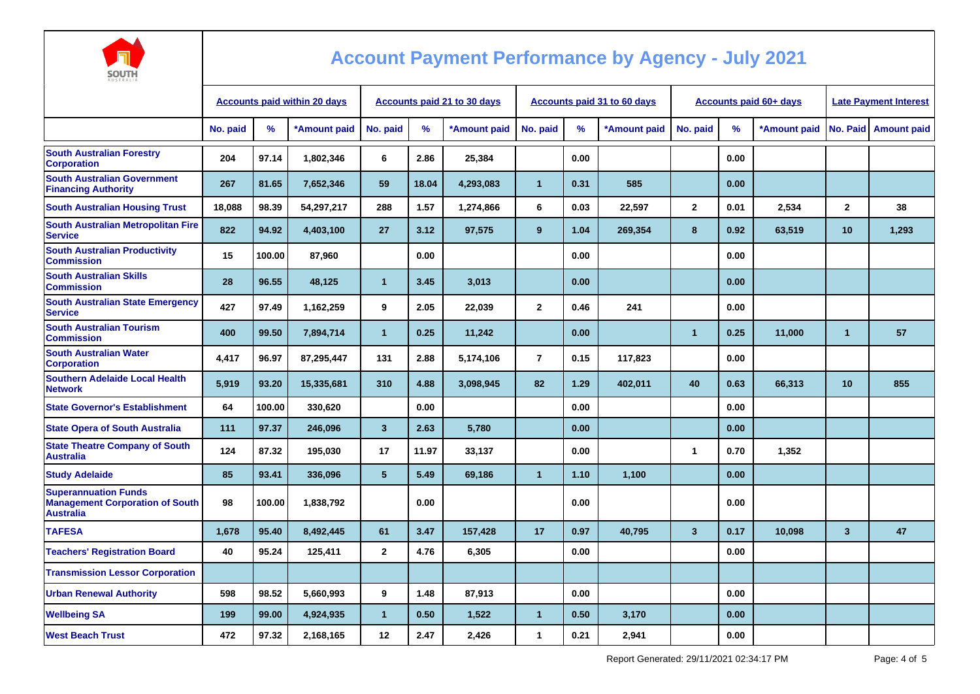

| <b>AUSTRALIA</b>                                                                          |                                     |        |                             |                      |       |                             |                      |      |                               |              |      |                              |                         |                    |
|-------------------------------------------------------------------------------------------|-------------------------------------|--------|-----------------------------|----------------------|-------|-----------------------------|----------------------|------|-------------------------------|--------------|------|------------------------------|-------------------------|--------------------|
|                                                                                           | <b>Accounts paid within 20 days</b> |        | Accounts paid 21 to 30 days |                      |       | Accounts paid 31 to 60 days |                      |      | <b>Accounts paid 60+ days</b> |              |      | <b>Late Payment Interest</b> |                         |                    |
|                                                                                           | No. paid                            | %      | *Amount paid                | No. paid             | %     | *Amount paid                | No. paid             | %    | *Amount paid                  | No. paid     | %    | *Amount paid                 | No. Paid                | <b>Amount paid</b> |
| <b>South Australian Forestry</b><br><b>Corporation</b>                                    | 204                                 | 97.14  | 1,802,346                   | 6                    | 2.86  | 25,384                      |                      | 0.00 |                               |              | 0.00 |                              |                         |                    |
| <b>South Australian Government</b><br><b>Financing Authority</b>                          | 267                                 | 81.65  | 7,652,346                   | 59                   | 18.04 | 4,293,083                   | $\mathbf{1}$         | 0.31 | 585                           |              | 0.00 |                              |                         |                    |
| <b>South Australian Housing Trust</b>                                                     | 18,088                              | 98.39  | 54,297,217                  | 288                  | 1.57  | 1,274,866                   | 6                    | 0.03 | 22,597                        | $\mathbf{2}$ | 0.01 | 2,534                        | $\mathbf{2}$            | 38                 |
| <b>South Australian Metropolitan Fire</b><br><b>Service</b>                               | 822                                 | 94.92  | 4,403,100                   | 27                   | 3.12  | 97,575                      | 9                    | 1.04 | 269,354                       | 8            | 0.92 | 63,519                       | 10                      | 1,293              |
| <b>South Australian Productivity</b><br><b>Commission</b>                                 | 15                                  | 100.00 | 87,960                      |                      | 0.00  |                             |                      | 0.00 |                               |              | 0.00 |                              |                         |                    |
| <b>South Australian Skills</b><br><b>Commission</b>                                       | 28                                  | 96.55  | 48,125                      | $\blacktriangleleft$ | 3.45  | 3,013                       |                      | 0.00 |                               |              | 0.00 |                              |                         |                    |
| <b>South Australian State Emergency</b><br><b>Service</b>                                 | 427                                 | 97.49  | 1,162,259                   | 9                    | 2.05  | 22,039                      | $\mathbf{2}$         | 0.46 | 241                           |              | 0.00 |                              |                         |                    |
| <b>South Australian Tourism</b><br><b>Commission</b>                                      | 400                                 | 99.50  | 7,894,714                   | $\mathbf{1}$         | 0.25  | 11,242                      |                      | 0.00 |                               | $\mathbf{1}$ | 0.25 | 11,000                       | $\mathbf{1}$            | 57                 |
| <b>South Australian Water</b><br><b>Corporation</b>                                       | 4,417                               | 96.97  | 87,295,447                  | 131                  | 2.88  | 5,174,106                   | $\overline{7}$       | 0.15 | 117,823                       |              | 0.00 |                              |                         |                    |
| <b>Southern Adelaide Local Health</b><br><b>Network</b>                                   | 5.919                               | 93.20  | 15,335,681                  | 310                  | 4.88  | 3,098,945                   | 82                   | 1.29 | 402,011                       | 40           | 0.63 | 66,313                       | 10 <sup>°</sup>         | 855                |
| <b>State Governor's Establishment</b>                                                     | 64                                  | 100.00 | 330,620                     |                      | 0.00  |                             |                      | 0.00 |                               |              | 0.00 |                              |                         |                    |
| <b>State Opera of South Australia</b>                                                     | 111                                 | 97.37  | 246,096                     | $\mathbf{3}$         | 2.63  | 5,780                       |                      | 0.00 |                               |              | 0.00 |                              |                         |                    |
| <b>State Theatre Company of South</b><br><b>Australia</b>                                 | 124                                 | 87.32  | 195,030                     | 17                   | 11.97 | 33,137                      |                      | 0.00 |                               | 1            | 0.70 | 1,352                        |                         |                    |
| <b>Study Adelaide</b>                                                                     | 85                                  | 93.41  | 336,096                     | $5\phantom{.0}$      | 5.49  | 69,186                      | $\blacktriangleleft$ | 1.10 | 1,100                         |              | 0.00 |                              |                         |                    |
| <b>Superannuation Funds</b><br><b>Management Corporation of South</b><br><b>Australia</b> | 98                                  | 100.00 | 1,838,792                   |                      | 0.00  |                             |                      | 0.00 |                               |              | 0.00 |                              |                         |                    |
| <b>TAFESA</b>                                                                             | 1,678                               | 95.40  | 8,492,445                   | 61                   | 3.47  | 157,428                     | 17                   | 0.97 | 40,795                        | $\mathbf{3}$ | 0.17 | 10,098                       | $\overline{\mathbf{3}}$ | 47                 |
| <b>Teachers' Registration Board</b>                                                       | 40                                  | 95.24  | 125,411                     | $\mathbf{2}$         | 4.76  | 6,305                       |                      | 0.00 |                               |              | 0.00 |                              |                         |                    |
| <b>Transmission Lessor Corporation</b>                                                    |                                     |        |                             |                      |       |                             |                      |      |                               |              |      |                              |                         |                    |
| <b>Urban Renewal Authority</b>                                                            | 598                                 | 98.52  | 5,660,993                   | 9                    | 1.48  | 87,913                      |                      | 0.00 |                               |              | 0.00 |                              |                         |                    |
| <b>Wellbeing SA</b>                                                                       | 199                                 | 99.00  | 4,924,935                   | $\mathbf{1}$         | 0.50  | 1,522                       | $\blacktriangleleft$ | 0.50 | 3,170                         |              | 0.00 |                              |                         |                    |
| <b>West Beach Trust</b>                                                                   | 472                                 | 97.32  | 2,168,165                   | 12                   | 2.47  | 2,426                       | $\mathbf{1}$         | 0.21 | 2,941                         |              | 0.00 |                              |                         |                    |